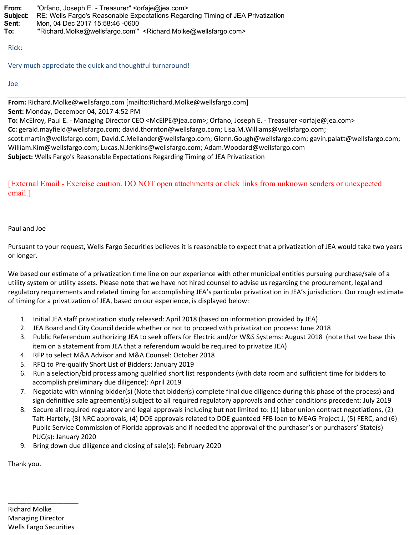**From:** "Orfano, Joseph E. - Treasurer" <orfaje@jea.com> **Subject:** RE: Wells Fargo's Reasonable Expectations Regarding Timing of JEA Privatization **Sent:** Mon, 04 Dec 2017 15:58:46 -0600 **To:** "'Richard.Molke@wellsfargo.com'" <Richard.Molke@wellsfargo.com>

Rick:

Very much appreciate the quick and thoughtful turnaround!

Joe

**From:** Richard.Molke@wellsfargo.com [mailto:Richard.Molke@wellsfargo.com] **Sent:** Monday, December 04, 2017 4:52 PM

**To:** McElroy, Paul E. - Managing Director CEO <McElPE@jea.com>; Orfano, Joseph E. - Treasurer <orfaje@jea.com> **Cc:** gerald.mayfield@wellsfargo.com; david.thornton@wellsfargo.com; Lisa.M.Williams@wellsfargo.com; scott.martin@wellsfargo.com; David.C.Mellander@wellsfargo.com; Glenn.Gough@wellsfargo.com; gavin.palatt@wellsfargo.com; William.Kim@wellsfargo.com; Lucas.N.Jenkins@wellsfargo.com; Adam.Woodard@wellsfargo.com **Subject:** Wells Fargo's Reasonable Expectations Regarding Timing of JEA Privatization

[External Email - Exercise caution. DO NOT open attachments or click links from unknown senders or unexpected email.]

## Paul and Joe

Pursuant to your request, Wells Fargo Securities believes it is reasonable to expect that a privatization of JEA would take two years or longer.

We based our estimate of a privatization time line on our experience with other municipal entities pursuing purchase/sale of a utility system or utility assets. Please note that we have not hired counsel to advise us regarding the procurement, legal and regulatory requirements and related timing for accomplishing JEA's particular privatization in JEA's jurisdiction. Our rough estimate of timing for a privatization of JEA, based on our experience, is displayed below:

- 1. Initial JEA staff privatization study released: April 2018 (based on information provided by JEA)
- 2. JEA Board and City Council decide whether or not to proceed with privatization process: June 2018
- 3. Public Referendum authorizing JEA to seek offers for Electric and/or W&S Systems: August 2018 (note that we base this item on a statement from JEA that a referendum would be required to privatize JEA)
- 4. RFP to select M&A Advisor and M&A Counsel: October 2018
- 5. RFQ to Pre-qualify Short List of Bidders: January 2019
- 6. Run a selection/bid process among qualified short list respondents (with data room and sufficient time for bidders to accomplish preliminary due diligence): April 2019
- 7. Negotiate with winning bidder(s) (Note that bidder(s) complete final due diligence during this phase of the process) and sign definitive sale agreement(s) subject to all required regulatory approvals and other conditions precedent: July 2019
- 8. Secure all required regulatory and legal approvals including but not limited to: (1) labor union contract negotiations, (2) Taft-Hartely, (3) NRC approvals, (4) DOE approvals related to DOE guanteed FFB loan to MEAG Project J, (5) FERC, and (6) Public Service Commission of Florida approvals and if needed the approval of the purchaser's or purchasers' State(s) PUC(s): January 2020
- 9. Bring down due diligence and closing of sale(s): February 2020

Thank you.

\_\_\_\_\_\_\_\_\_\_\_\_\_\_\_\_\_\_\_